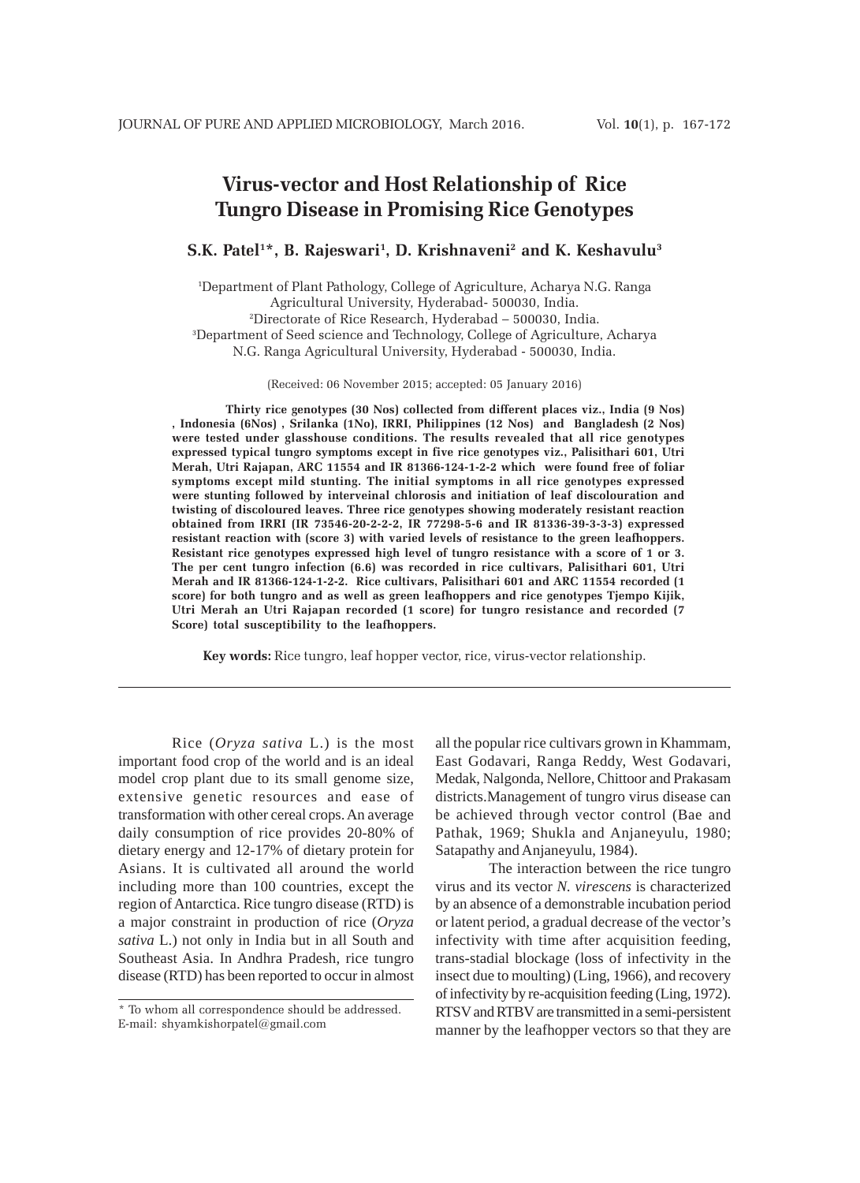# **Virus-vector and Host Relationship of Rice Tungro Disease in Promising Rice Genotypes**

# **S.K. Patel1 \*, B. Rajeswari1 , D. Krishnaveni2 and K. Keshavulu3**

1 Department of Plant Pathology, College of Agriculture, Acharya N.G. Ranga Agricultural University, Hyderabad- 500030, India. 2 Directorate of Rice Research, Hyderabad – 500030, India. 3 Department of Seed science and Technology, College of Agriculture, Acharya N.G. Ranga Agricultural University, Hyderabad - 500030, India.

(Received: 06 November 2015; accepted: 05 January 2016)

**Thirty rice genotypes (30 Nos) collected from different places viz., India (9 Nos) , Indonesia (6Nos) , Srilanka (1No), IRRI, Philippines (12 Nos) and Bangladesh (2 Nos) were tested under glasshouse conditions. The results revealed that all rice genotypes expressed typical tungro symptoms except in five rice genotypes viz., Palisithari 601, Utri Merah, Utri Rajapan, ARC 11554 and IR 81366-124-1-2-2 which were found free of foliar symptoms except mild stunting. The initial symptoms in all rice genotypes expressed were stunting followed by interveinal chlorosis and initiation of leaf discolouration and twisting of discoloured leaves. Three rice genotypes showing moderately resistant reaction obtained from IRRI (IR 73546-20-2-2-2, IR 77298-5-6 and IR 81336-39-3-3-3) expressed resistant reaction with (score 3) with varied levels of resistance to the green leafhoppers. Resistant rice genotypes expressed high level of tungro resistance with a score of 1 or 3. The per cent tungro infection (6.6) was recorded in rice cultivars, Palisithari 601, Utri Merah and IR 81366-124-1-2-2. Rice cultivars, Palisithari 601 and ARC 11554 recorded (1 score) for both tungro and as well as green leafhoppers and rice genotypes Tjempo Kijik, Utri Merah an Utri Rajapan recorded (1 score) for tungro resistance and recorded (7 Score) total susceptibility to the leafhoppers.**

**Key words:** Rice tungro, leaf hopper vector, rice, virus-vector relationship.

Rice (*Oryza sativa* L.) is the most important food crop of the world and is an ideal model crop plant due to its small genome size, extensive genetic resources and ease of transformation with other cereal crops. An average daily consumption of rice provides 20-80% of dietary energy and 12-17% of dietary protein for Asians. It is cultivated all around the world including more than 100 countries, except the region of Antarctica. Rice tungro disease (RTD) is a major constraint in production of rice (*Oryza sativa* L.) not only in India but in all South and Southeast Asia. In Andhra Pradesh, rice tungro disease (RTD) has been reported to occur in almost

all the popular rice cultivars grown in Khammam, East Godavari, Ranga Reddy, West Godavari, Medak, Nalgonda, Nellore, Chittoor and Prakasam districts.Management of tungro virus disease can be achieved through vector control (Bae and Pathak, 1969; Shukla and Anjaneyulu, 1980; Satapathy and Anjaneyulu, 1984).

The interaction between the rice tungro virus and its vector *N. virescens* is characterized by an absence of a demonstrable incubation period or latent period, a gradual decrease of the vector's infectivity with time after acquisition feeding, trans-stadial blockage (loss of infectivity in the insect due to moulting) (Ling, 1966), and recovery of infectivity by re-acquisition feeding (Ling, 1972). RTSV and RTBV are transmitted in a semi-persistent manner by the leafhopper vectors so that they are

<sup>\*</sup> To whom all correspondence should be addressed. E-mail: shyamkishorpatel@gmail.com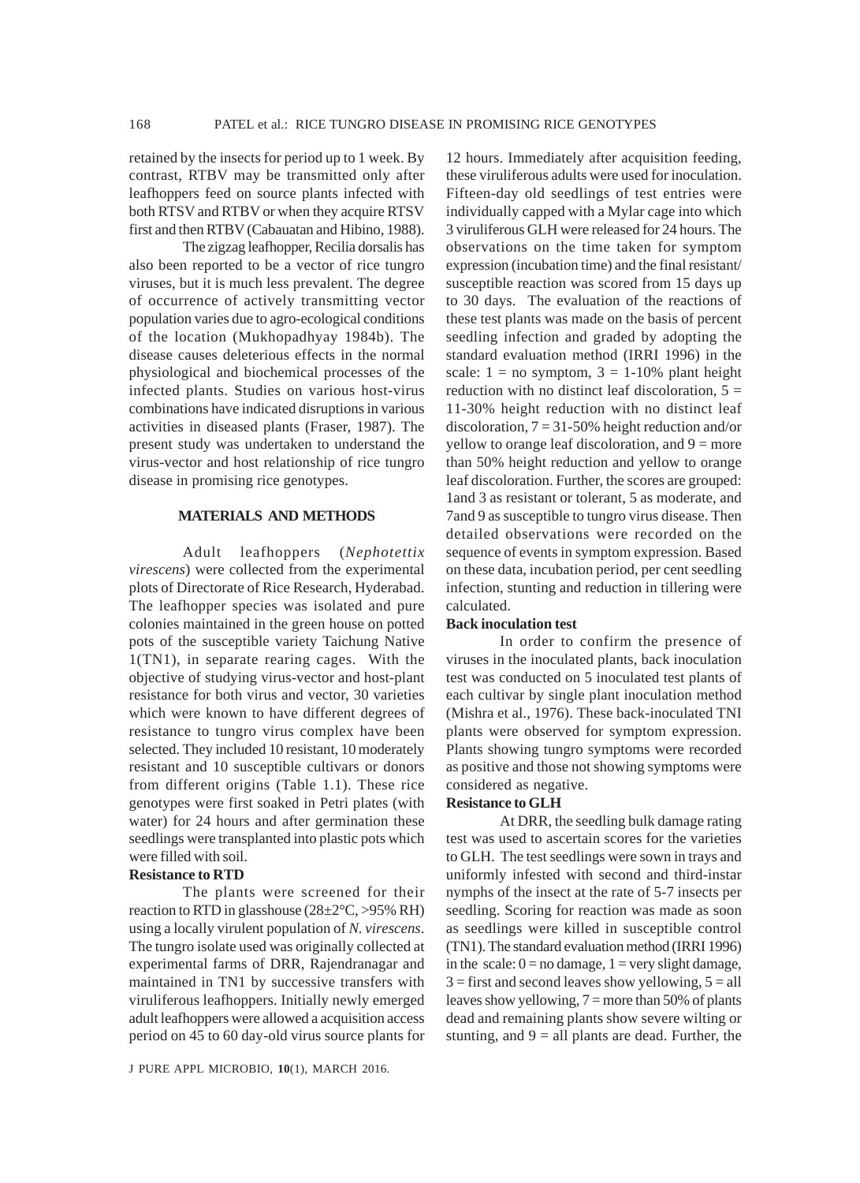retained by the insects for period up to 1 week. By contrast, RTBV may be transmitted only after leafhoppers feed on source plants infected with both RTSV and RTBV or when they acquire RTSV first and then RTBV (Cabauatan and Hibino, 1988).

The zigzag leafhopper, Recilia dorsalis has also been reported to be a vector of rice tungro viruses, but it is much less prevalent. The degree of occurrence of actively transmitting vector population varies due to agro-ecological conditions of the location (Mukhopadhyay 1984b). The disease causes deleterious effects in the normal physiological and biochemical processes of the infected plants. Studies on various host-virus combinations have indicated disruptions in various activities in diseased plants (Fraser, 1987). The present study was undertaken to understand the virus-vector and host relationship of rice tungro disease in promising rice genotypes.

# **MATERIALS AND METHODS**

Adult leafhoppers (*Nephotettix virescens*) were collected from the experimental plots of Directorate of Rice Research, Hyderabad. The leafhopper species was isolated and pure colonies maintained in the green house on potted pots of the susceptible variety Taichung Native 1(TN1), in separate rearing cages. With the objective of studying virus-vector and host-plant resistance for both virus and vector, 30 varieties which were known to have different degrees of resistance to tungro virus complex have been selected. They included 10 resistant, 10 moderately resistant and 10 susceptible cultivars or donors from different origins (Table 1.1). These rice genotypes were first soaked in Petri plates (with water) for 24 hours and after germination these seedlings were transplanted into plastic pots which were filled with soil.

### **Resistance to RTD**

The plants were screened for their reaction to RTD in glasshouse  $(28\pm2\degree C, >95\% \text{ RH})$ using a locally virulent population of *N. virescens*. The tungro isolate used was originally collected at experimental farms of DRR, Rajendranagar and maintained in TN1 by successive transfers with viruliferous leafhoppers. Initially newly emerged adult leafhoppers were allowed a acquisition access period on 45 to 60 day-old virus source plants for

12 hours. Immediately after acquisition feeding, these viruliferous adults were used for inoculation. Fifteen-day old seedlings of test entries were individually capped with a Mylar cage into which 3 viruliferous GLH were released for 24 hours. The observations on the time taken for symptom expression (incubation time) and the final resistant/ susceptible reaction was scored from 15 days up to 30 days. The evaluation of the reactions of these test plants was made on the basis of percent seedling infection and graded by adopting the standard evaluation method (IRRI 1996) in the scale:  $1 = no$  symptom,  $3 = 1-10\%$  plant height reduction with no distinct leaf discoloration,  $5 =$ 11-30% height reduction with no distinct leaf discoloration,  $7 = 31-50%$  height reduction and/or yellow to orange leaf discoloration, and  $9 =$  more than 50% height reduction and yellow to orange leaf discoloration. Further, the scores are grouped: 1and 3 as resistant or tolerant, 5 as moderate, and 7and 9 as susceptible to tungro virus disease. Then detailed observations were recorded on the sequence of events in symptom expression. Based on these data, incubation period, per cent seedling infection, stunting and reduction in tillering were calculated.

## **Back inoculation test**

In order to confirm the presence of viruses in the inoculated plants, back inoculation test was conducted on 5 inoculated test plants of each cultivar by single plant inoculation method (Mishra et al., 1976). These back-inoculated TNI plants were observed for symptom expression. Plants showing tungro symptoms were recorded as positive and those not showing symptoms were considered as negative.

### **Resistance to GLH**

At DRR, the seedling bulk damage rating test was used to ascertain scores for the varieties to GLH. The test seedlings were sown in trays and uniformly infested with second and third-instar nymphs of the insect at the rate of 5-7 insects per seedling. Scoring for reaction was made as soon as seedlings were killed in susceptible control (TN1). The standard evaluation method (IRRI 1996) in the scale:  $0 = no$  damage,  $1 = very$  slight damage,  $3 =$  first and second leaves show yellowing,  $5 =$  all leaves show yellowing,  $7 =$  more than 50% of plants dead and remaining plants show severe wilting or stunting, and  $9 =$  all plants are dead. Further, the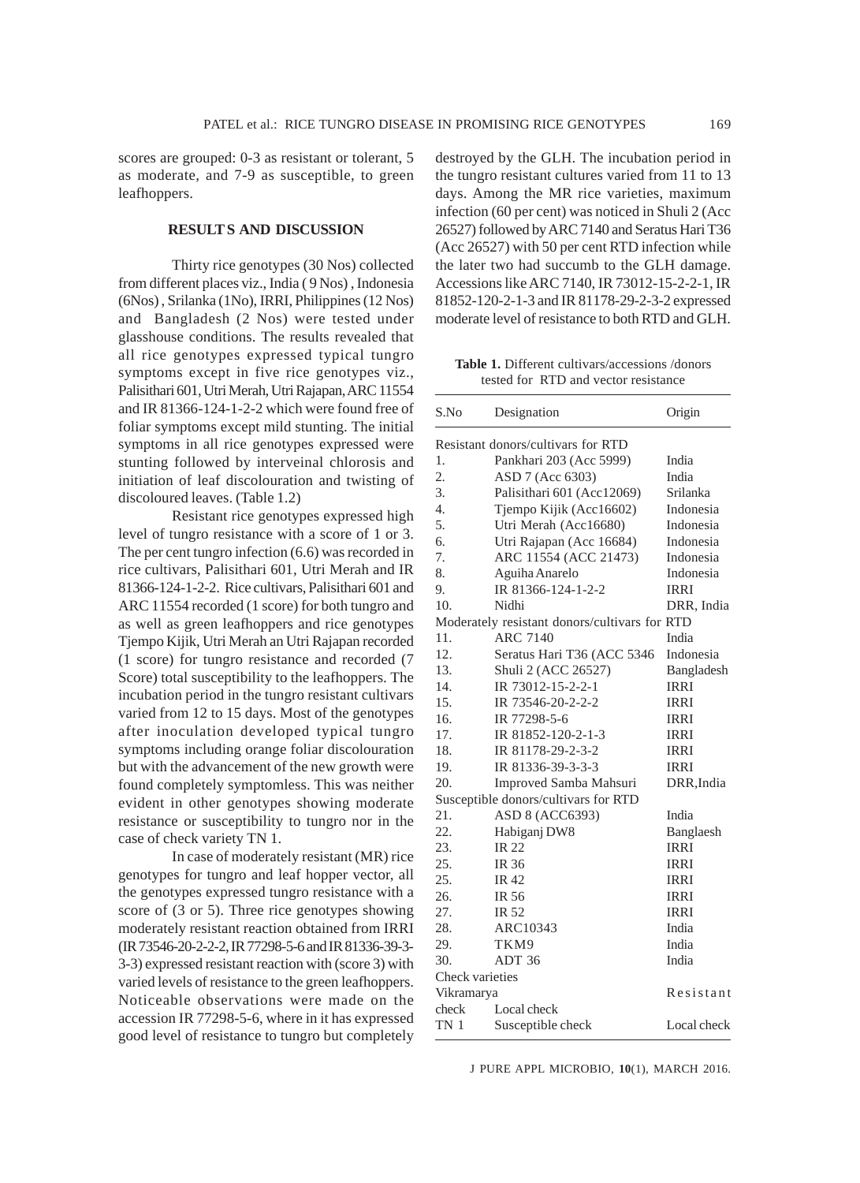scores are grouped: 0-3 as resistant or tolerant, 5 as moderate, and 7-9 as susceptible, to green leafhoppers.

# **RESULT S AND DISCUSSION**

Thirty rice genotypes (30 Nos) collected from different places viz., India ( 9 Nos) , Indonesia (6Nos) , Srilanka (1No), IRRI, Philippines (12 Nos) and Bangladesh (2 Nos) were tested under glasshouse conditions. The results revealed that all rice genotypes expressed typical tungro symptoms except in five rice genotypes viz., Palisithari 601, Utri Merah, Utri Rajapan, ARC 11554 and IR 81366-124-1-2-2 which were found free of foliar symptoms except mild stunting. The initial symptoms in all rice genotypes expressed were stunting followed by interveinal chlorosis and initiation of leaf discolouration and twisting of discoloured leaves. (Table 1.2)

Resistant rice genotypes expressed high level of tungro resistance with a score of 1 or 3. The per cent tungro infection (6.6) was recorded in rice cultivars, Palisithari 601, Utri Merah and IR 81366-124-1-2-2. Rice cultivars, Palisithari 601 and ARC 11554 recorded (1 score) for both tungro and as well as green leafhoppers and rice genotypes Tjempo Kijik, Utri Merah an Utri Rajapan recorded (1 score) for tungro resistance and recorded (7 Score) total susceptibility to the leafhoppers. The incubation period in the tungro resistant cultivars varied from 12 to 15 days. Most of the genotypes after inoculation developed typical tungro symptoms including orange foliar discolouration but with the advancement of the new growth were found completely symptomless. This was neither evident in other genotypes showing moderate resistance or susceptibility to tungro nor in the case of check variety TN 1.

In case of moderately resistant (MR) rice genotypes for tungro and leaf hopper vector, all the genotypes expressed tungro resistance with a score of (3 or 5). Three rice genotypes showing moderately resistant reaction obtained from IRRI (IR 73546-20-2-2-2, IR 77298-5-6 and IR 81336-39-3- 3-3) expressed resistant reaction with (score 3) with varied levels of resistance to the green leafhoppers. Noticeable observations were made on the accession IR 77298-5-6, where in it has expressed good level of resistance to tungro but completely

destroyed by the GLH. The incubation period in the tungro resistant cultures varied from 11 to 13 days. Among the MR rice varieties, maximum infection (60 per cent) was noticed in Shuli 2 (Acc 26527) followed by ARC 7140 and Seratus Hari T36 (Acc 26527) with 50 per cent RTD infection while the later two had succumb to the GLH damage. Accessions like ARC 7140, IR 73012-15-2-2-1, IR 81852-120-2-1-3 and IR 81178-29-2-3-2 expressed moderate level of resistance to both RTD and GLH.

**Table 1.** Different cultivars/accessions /donors tested for RTD and vector resistance

| S.No                                          | Designation                | Origin      |  |  |  |  |  |
|-----------------------------------------------|----------------------------|-------------|--|--|--|--|--|
| Resistant donors/cultivars for RTD            |                            |             |  |  |  |  |  |
| 1.                                            | Pankhari 203 (Acc 5999)    | India       |  |  |  |  |  |
| 2.                                            | ASD 7 (Acc 6303)           | India       |  |  |  |  |  |
| 3.                                            | Palisithari 601 (Acc12069) | Srilanka    |  |  |  |  |  |
| $\overline{4}$ .                              | Tjempo Kijik (Acc16602)    | Indonesia   |  |  |  |  |  |
| 5.                                            | Utri Merah (Acc16680)      | Indonesia   |  |  |  |  |  |
| б.                                            | Utri Rajapan (Acc 16684)   | Indonesia   |  |  |  |  |  |
| 7.                                            | ARC 11554 (ACC 21473)      | Indonesia   |  |  |  |  |  |
| 8.                                            | Aguiha Anarelo             | Indonesia   |  |  |  |  |  |
| 9.                                            | IR 81366-124-1-2-2         | <b>IRRI</b> |  |  |  |  |  |
| 10.                                           | Nidhi                      | DRR, India  |  |  |  |  |  |
| Moderately resistant donors/cultivars for RTD |                            |             |  |  |  |  |  |
| 11.                                           | <b>ARC 7140</b>            | India       |  |  |  |  |  |
| 12.                                           | Seratus Hari T36 (ACC 5346 | Indonesia   |  |  |  |  |  |
| 13.                                           | Shuli 2 (ACC 26527)        | Bangladesh  |  |  |  |  |  |
| 14.                                           | IR 73012-15-2-2-1          | <b>IRRI</b> |  |  |  |  |  |
| 15.                                           | IR 73546-20-2-2-2          | <b>IRRI</b> |  |  |  |  |  |
| 16.                                           | IR 77298-5-6               | <b>IRRI</b> |  |  |  |  |  |
| 17.                                           | IR 81852-120-2-1-3         | <b>IRRI</b> |  |  |  |  |  |
| 18.                                           | IR 81178-29-2-3-2          | <b>IRRI</b> |  |  |  |  |  |
| 19.                                           | IR 81336-39-3-3-3          | <b>IRRI</b> |  |  |  |  |  |
| 20.                                           | Improved Samba Mahsuri     | DRR, India  |  |  |  |  |  |
| Susceptible donors/cultivars for RTD          |                            |             |  |  |  |  |  |
| 21.                                           | ASD 8 (ACC6393)            | India       |  |  |  |  |  |
| 22.                                           | Habiganj DW8               | Banglaesh   |  |  |  |  |  |
| 23.                                           | <b>IR22</b>                | <b>IRRI</b> |  |  |  |  |  |
| 25.                                           | <b>IR 36</b>               | <b>IRRI</b> |  |  |  |  |  |
| 25.                                           | IR 42                      | <b>IRRI</b> |  |  |  |  |  |
| 26.                                           | IR 56                      | <b>IRRI</b> |  |  |  |  |  |
| 27.                                           | IR 52                      | <b>IRRI</b> |  |  |  |  |  |
| 28.                                           | ARC10343                   | India       |  |  |  |  |  |
| 29.                                           | TKM9                       | India       |  |  |  |  |  |
| 30.                                           | ADT 36                     | India       |  |  |  |  |  |
| Check varieties                               |                            |             |  |  |  |  |  |
| Vikramarya                                    | Resistant                  |             |  |  |  |  |  |
| check                                         | Local check                |             |  |  |  |  |  |
| TN <sub>1</sub>                               | Susceptible check          | Local check |  |  |  |  |  |

J PURE APPL MICROBIO*,* **10**(1), MARCH 2016.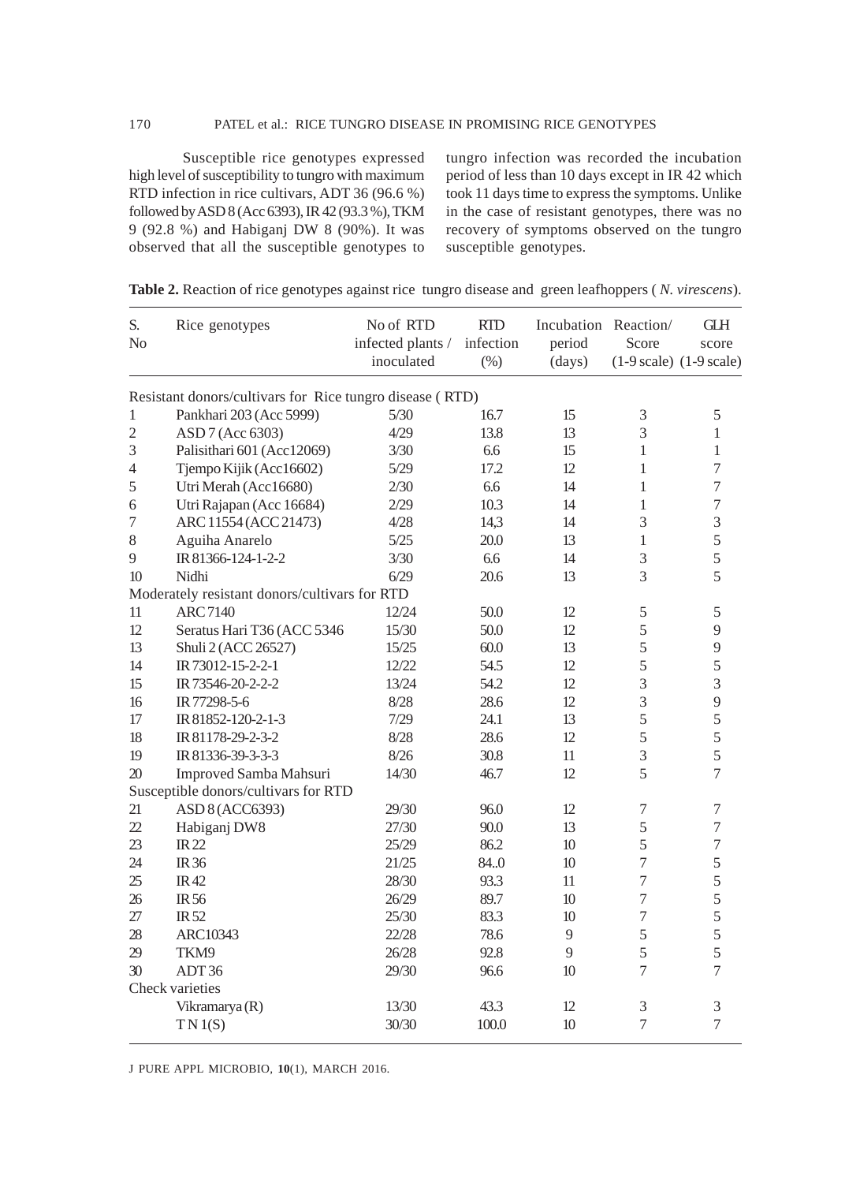Susceptible rice genotypes expressed high level of susceptibility to tungro with maximum RTD infection in rice cultivars, ADT 36 (96.6 %) followed by ASD 8 (Acc 6393), IR 42 (93.3 %), TKM 9 (92.8 %) and Habiganj DW 8 (90%). It was observed that all the susceptible genotypes to tungro infection was recorded the incubation period of less than 10 days except in IR 42 which took 11 days time to express the symptoms. Unlike in the case of resistant genotypes, there was no recovery of symptoms observed on the tungro susceptible genotypes.

| S.<br>N <sub>0</sub> | Rice genotypes                                           | No of RTD<br>infected plants / | <b>RTD</b><br>infection | Incubation Reaction/<br>period | Score          | <b>GLH</b><br>score                         |
|----------------------|----------------------------------------------------------|--------------------------------|-------------------------|--------------------------------|----------------|---------------------------------------------|
|                      |                                                          | inoculated                     | $(\% )$                 | (days)                         |                | $(1-9 \text{ scale})$ $(1-9 \text{ scale})$ |
|                      | Resistant donors/cultivars for Rice tungro disease (RTD) |                                |                         |                                |                |                                             |
| $\mathbf{1}$         | Pankhari 203 (Acc 5999)                                  | 5/30                           | 16.7                    | 15                             | $\mathfrak{Z}$ | $\mathfrak s$                               |
| $\overline{c}$       | ASD 7 (Acc 6303)                                         | 4/29                           | 13.8                    | 13                             | 3              | $\mathbf{1}$                                |
| 3                    | Palisithari 601 (Acc12069)                               | 3/30                           | 6.6                     | 15                             | $\mathbf{1}$   | 1                                           |
| $\overline{4}$       | Tjempo Kijik (Acc16602)                                  | $5/29$                         | 17.2                    | 12                             | 1              | $\boldsymbol{7}$                            |
| 5                    | Utri Merah (Acc16680)                                    | 2/30                           | 6.6                     | 14                             | $\mathbf{1}$   | $\overline{7}$                              |
| 6                    | Utri Rajapan (Acc 16684)                                 | 2/29                           | 10.3                    | 14                             | 1              | $\boldsymbol{7}$                            |
| $\overline{7}$       | ARC 11554 (ACC 21473)                                    | 4/28                           | 14,3                    | 14                             | 3              | 3                                           |
| $8\,$                | Aguiha Anarelo                                           | 5/25                           | 20.0                    | 13                             | 1              | 5                                           |
| 9                    | IR 81366-124-1-2-2                                       | 3/30                           | 6.6                     | 14                             | 3              | $\overline{5}$                              |
| 10                   | Nidhi                                                    | 6/29                           | 20.6                    | 13                             | 3              | 5                                           |
|                      | Moderately resistant donors/cultivars for RTD            |                                |                         |                                |                |                                             |
| 11                   | <b>ARC7140</b>                                           | 12/24                          | 50.0                    | 12                             | $\mathfrak s$  | 5                                           |
| 12                   | Seratus Hari T36 (ACC 5346                               | 15/30                          | 50.0                    | 12                             | 5              | 9                                           |
| 13                   | Shuli 2 (ACC 26527)                                      | 15/25                          | 60.0                    | 13                             | 5              | 9                                           |
| 14                   | IR 73012-15-2-2-1                                        | 12/22                          | 54.5                    | 12                             | 5              | 5                                           |
| 15                   | IR 73546-20-2-2-2                                        | 13/24                          | 54.2                    | 12                             | $\overline{3}$ | $\overline{3}$                              |
| 16                   | IR 77298-5-6                                             | 8/28                           | 28.6                    | 12                             | 3              | 9                                           |
| 17                   | IR 81852-120-2-1-3                                       | 7/29                           | 24.1                    | 13                             | 5              | 5                                           |
| 18                   | IR 81178-29-2-3-2                                        | 8/28                           | 28.6                    | 12                             | 5              | 5                                           |
| 19                   | IR 81336-39-3-3-3                                        | 8/26                           | 30.8                    | 11                             | 3              | 5                                           |
| 20                   | Improved Samba Mahsuri                                   | 14/30                          | 46.7                    | 12                             | 5              | $\overline{7}$                              |
|                      | Susceptible donors/cultivars for RTD                     |                                |                         |                                |                |                                             |
| 21                   | ASD 8 (ACC6393)                                          | 29/30                          | 96.0                    | 12                             | $\tau$         | 7                                           |
| 22                   | Habiganj DW8                                             | 27/30                          | 90.0                    | 13                             | 5              | $\boldsymbol{7}$                            |
| 23                   | <b>IR22</b>                                              | 25/29                          | 86.2                    | 10                             | 5              | $\overline{7}$                              |
| 24                   | <b>IR36</b>                                              | 21/25                          | 84.0                    | 10                             | $\tau$         | 5                                           |
| 25                   | <b>IR42</b>                                              | 28/30                          | 93.3                    | 11                             | 7              | 5                                           |
| 26                   | <b>IR56</b>                                              | 26/29                          | 89.7                    | 10                             | $\tau$         | 5                                           |
| 27                   | IR <sub>52</sub>                                         | 25/30                          | 83.3                    | 10                             | $\overline{7}$ | 5                                           |
| 28                   | ARC10343                                                 | 22/28                          | 78.6                    | 9                              | 5              | 5                                           |
| 29                   | TKM9                                                     | 26/28                          | 92.8                    | 9                              | 5              | 5                                           |
| 30                   | ADT36                                                    | 29/30                          | 96.6                    | 10                             | 7              | $\overline{7}$                              |
|                      | Check varieties                                          |                                |                         |                                |                |                                             |
|                      | Vikramarya (R)                                           | 13/30                          | 43.3                    | 12                             | 3              | 3                                           |
|                      | TN 1(S)                                                  | 30/30                          | 100.0                   | 10                             | 7              | $\overline{7}$                              |

**Table 2.** Reaction of rice genotypes against rice tungro disease and green leafhoppers ( *N. virescens*).

J PURE APPL MICROBIO*,* **10**(1), MARCH 2016.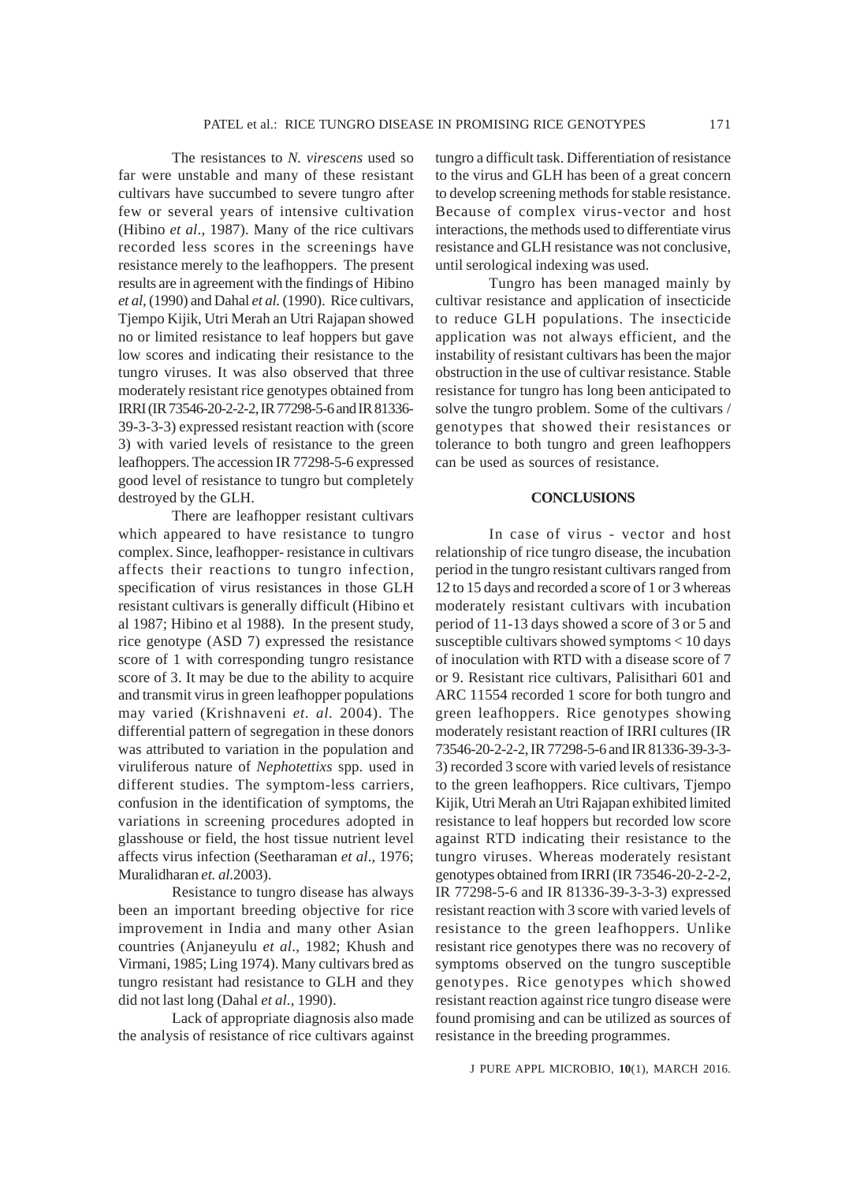The resistances to *N. virescens* used so far were unstable and many of these resistant cultivars have succumbed to severe tungro after few or several years of intensive cultivation (Hibino *et al*., 1987). Many of the rice cultivars recorded less scores in the screenings have resistance merely to the leafhoppers. The present results are in agreement with the findings of Hibino *et al,* (1990) and Dahal *et al.* (1990). Rice cultivars, Tjempo Kijik, Utri Merah an Utri Rajapan showed no or limited resistance to leaf hoppers but gave low scores and indicating their resistance to the tungro viruses. It was also observed that three moderately resistant rice genotypes obtained from IRRI (IR 73546-20-2-2-2, IR 77298-5-6 and IR 81336- 39-3-3-3) expressed resistant reaction with (score 3) with varied levels of resistance to the green leafhoppers. The accession IR 77298-5-6 expressed good level of resistance to tungro but completely destroyed by the GLH.

There are leafhopper resistant cultivars which appeared to have resistance to tungro complex. Since, leafhopper- resistance in cultivars affects their reactions to tungro infection, specification of virus resistances in those GLH resistant cultivars is generally difficult (Hibino et al 1987; Hibino et al 1988). In the present study, rice genotype (ASD 7) expressed the resistance score of 1 with corresponding tungro resistance score of 3. It may be due to the ability to acquire and transmit virus in green leafhopper populations may varied (Krishnaveni *et. al.* 2004). The differential pattern of segregation in these donors was attributed to variation in the population and viruliferous nature of *Nephotettixs* spp. used in different studies. The symptom-less carriers, confusion in the identification of symptoms, the variations in screening procedures adopted in glasshouse or field, the host tissue nutrient level affects virus infection (Seetharaman *et al*., 1976; Muralidharan *et. al.*2003).

Resistance to tungro disease has always been an important breeding objective for rice improvement in India and many other Asian countries (Anjaneyulu *et al*., 1982; Khush and Virmani, 1985; Ling 1974). Many cultivars bred as tungro resistant had resistance to GLH and they did not last long (Dahal *et al.,* 1990).

Lack of appropriate diagnosis also made the analysis of resistance of rice cultivars against tungro a difficult task. Differentiation of resistance to the virus and GLH has been of a great concern to develop screening methods for stable resistance. Because of complex virus-vector and host interactions, the methods used to differentiate virus resistance and GLH resistance was not conclusive, until serological indexing was used.

Tungro has been managed mainly by cultivar resistance and application of insecticide to reduce GLH populations. The insecticide application was not always efficient, and the instability of resistant cultivars has been the major obstruction in the use of cultivar resistance. Stable resistance for tungro has long been anticipated to solve the tungro problem. Some of the cultivars / genotypes that showed their resistances or tolerance to both tungro and green leafhoppers can be used as sources of resistance.

## **CONCLUSIONS**

In case of virus - vector and host relationship of rice tungro disease, the incubation period in the tungro resistant cultivars ranged from 12 to 15 days and recorded a score of 1 or 3 whereas moderately resistant cultivars with incubation period of 11-13 days showed a score of 3 or 5 and susceptible cultivars showed symptoms < 10 days of inoculation with RTD with a disease score of 7 or 9. Resistant rice cultivars, Palisithari 601 and ARC 11554 recorded 1 score for both tungro and green leafhoppers. Rice genotypes showing moderately resistant reaction of IRRI cultures (IR 73546-20-2-2-2, IR 77298-5-6 and IR 81336-39-3-3- 3) recorded 3 score with varied levels of resistance to the green leafhoppers. Rice cultivars, Tjempo Kijik, Utri Merah an Utri Rajapan exhibited limited resistance to leaf hoppers but recorded low score against RTD indicating their resistance to the tungro viruses. Whereas moderately resistant genotypes obtained from IRRI (IR 73546-20-2-2-2, IR 77298-5-6 and IR 81336-39-3-3-3) expressed resistant reaction with 3 score with varied levels of resistance to the green leafhoppers. Unlike resistant rice genotypes there was no recovery of symptoms observed on the tungro susceptible genotypes. Rice genotypes which showed resistant reaction against rice tungro disease were found promising and can be utilized as sources of resistance in the breeding programmes.